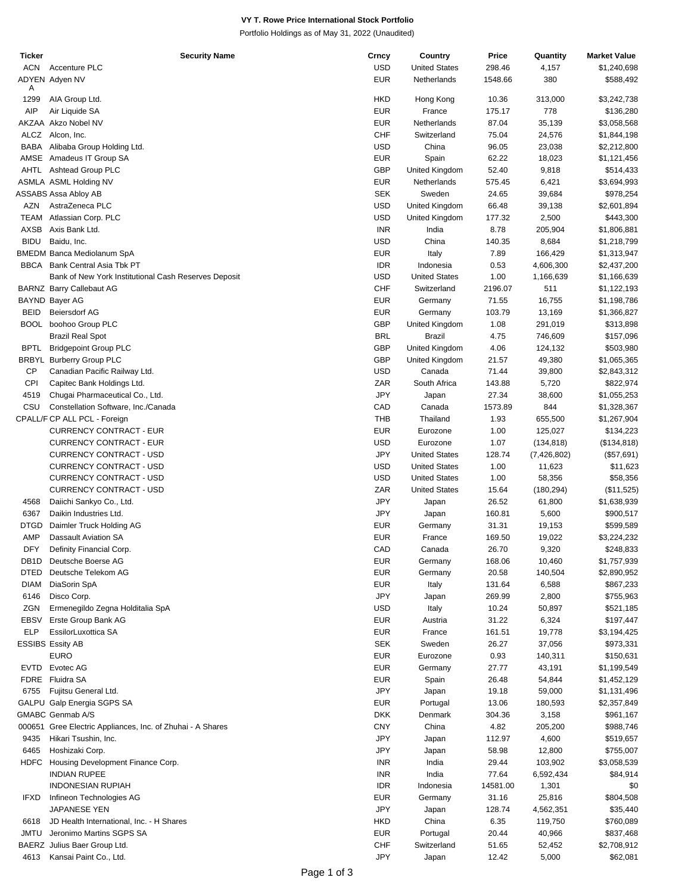## **VY T. Rowe Price International Stock Portfolio**

Portfolio Holdings as of May 31, 2022 (Unaudited)

| <b>Ticker</b> | <b>Security Name</b>                                       | Crncy      | Country              | Price    | Quantity    | <b>Market Value</b> |
|---------------|------------------------------------------------------------|------------|----------------------|----------|-------------|---------------------|
| <b>ACN</b>    | Accenture PLC                                              | <b>USD</b> | <b>United States</b> | 298.46   | 4,157       | \$1,240,698         |
| Α             | ADYEN Adyen NV                                             | <b>EUR</b> | Netherlands          | 1548.66  | 380         | \$588,492           |
| 1299          | AIA Group Ltd.                                             | <b>HKD</b> | Hong Kong            | 10.36    | 313,000     | \$3,242,738         |
| AIP           | Air Liquide SA                                             | <b>EUR</b> | France               | 175.17   | 778         | \$136,280           |
|               | AKZAA Akzo Nobel NV                                        | <b>EUR</b> | Netherlands          | 87.04    | 35,139      | \$3,058,568         |
|               | ALCZ Alcon, Inc.                                           | <b>CHF</b> | Switzerland          | 75.04    | 24,576      | \$1,844,198         |
|               | BABA Alibaba Group Holding Ltd.                            | <b>USD</b> | China                | 96.05    | 23,038      | \$2,212,800         |
|               | AMSE Amadeus IT Group SA                                   | <b>EUR</b> | Spain                | 62.22    | 18,023      | \$1,121,456         |
|               | AHTL Ashtead Group PLC                                     | <b>GBP</b> | United Kingdom       | 52.40    | 9,818       | \$514,433           |
|               | ASMLA ASML Holding NV                                      | <b>EUR</b> | Netherlands          | 575.45   | 6,421       | \$3,694,993         |
|               | ASSABS Assa Abloy AB                                       | <b>SEK</b> | Sweden               | 24.65    | 39,684      | \$978,254           |
| AZN           | AstraZeneca PLC                                            | <b>USD</b> | United Kingdom       | 66.48    | 39,138      | \$2,601,894         |
|               | TEAM Atlassian Corp. PLC                                   | <b>USD</b> | United Kingdom       | 177.32   | 2,500       | \$443,300           |
|               | AXSB Axis Bank Ltd.                                        | <b>INR</b> | India                | 8.78     | 205,904     | \$1,806,881         |
| <b>BIDU</b>   | Baidu, Inc.                                                | <b>USD</b> | China                | 140.35   | 8,684       | \$1,218,799         |
|               | <b>BMEDM Banca Mediolanum SpA</b>                          | <b>EUR</b> | Italy                | 7.89     | 166,429     | \$1,313,947         |
| <b>BBCA</b>   | Bank Central Asia Tbk PT                                   | <b>IDR</b> | Indonesia            | 0.53     | 4,606,300   | \$2,437,200         |
|               | Bank of New York Institutional Cash Reserves Deposit       | <b>USD</b> | <b>United States</b> | 1.00     | 1,166,639   | \$1,166,639         |
|               | BARNZ Barry Callebaut AG                                   | CHF        | Switzerland          | 2196.07  | 511         | \$1,122,193         |
|               | <b>BAYND Bayer AG</b>                                      | <b>EUR</b> | Germany              | 71.55    | 16,755      | \$1,198,786         |
| <b>BEID</b>   | <b>Beiersdorf AG</b>                                       | <b>EUR</b> | Germany              | 103.79   | 13,169      | \$1,366,827         |
|               | BOOL boohoo Group PLC                                      | <b>GBP</b> | United Kingdom       | 1.08     | 291,019     | \$313,898           |
|               | <b>Brazil Real Spot</b>                                    | <b>BRL</b> | Brazil               | 4.75     | 746,609     | \$157,096           |
| <b>BPTL</b>   | <b>Bridgepoint Group PLC</b>                               | <b>GBP</b> | United Kingdom       | 4.06     | 124,132     | \$503,980           |
|               | <b>BRBYL Burberry Group PLC</b>                            | <b>GBP</b> | United Kingdom       | 21.57    | 49,380      | \$1,065,365         |
| <b>CP</b>     | Canadian Pacific Railway Ltd.                              | <b>USD</b> | Canada               | 71.44    | 39,800      | \$2,843,312         |
| <b>CPI</b>    | Capitec Bank Holdings Ltd.                                 | ZAR        | South Africa         | 143.88   | 5,720       | \$822,974           |
| 4519          | Chugai Pharmaceutical Co., Ltd.                            | <b>JPY</b> | Japan                | 27.34    | 38,600      | \$1,055,253         |
| CSU           | Constellation Software, Inc./Canada                        | CAD        | Canada               | 1573.89  | 844         | \$1,328,367         |
|               | CPALL/F CP ALL PCL - Foreign                               | <b>THB</b> | Thailand             | 1.93     | 655,500     | \$1,267,904         |
|               | <b>CURRENCY CONTRACT - EUR</b>                             | <b>EUR</b> | Eurozone             | 1.00     | 125,027     | \$134,223           |
|               | <b>CURRENCY CONTRACT - EUR</b>                             | <b>USD</b> | Eurozone             | 1.07     | (134, 818)  | (\$134,818)         |
|               | CURRENCY CONTRACT - USD                                    | JPY        | <b>United States</b> | 128.74   | (7,426,802) | (\$57,691)          |
|               | CURRENCY CONTRACT - USD                                    | <b>USD</b> | <b>United States</b> | 1.00     | 11,623      | \$11,623            |
|               | CURRENCY CONTRACT - USD                                    | <b>USD</b> | <b>United States</b> | 1.00     | 58,356      | \$58,356            |
|               | <b>CURRENCY CONTRACT - USD</b>                             | ZAR        | <b>United States</b> | 15.64    | (180, 294)  | (\$11,525)          |
| 4568          | Daiichi Sankyo Co., Ltd.                                   | JPY        | Japan                | 26.52    | 61,800      | \$1,638,939         |
| 6367          | Daikin Industries Ltd.                                     | JPY        | Japan                | 160.81   | 5,600       | \$900,517           |
| <b>DTGD</b>   | Daimler Truck Holding AG                                   | <b>EUR</b> | Germany              | 31.31    | 19,153      | \$599,589           |
| AMP           | Dassault Aviation SA                                       | <b>EUR</b> | France               | 169.50   | 19,022      | \$3,224,232         |
| <b>DFY</b>    | Definity Financial Corp.                                   | CAD        | Canada               | 26.70    | 9,320       | \$248,833           |
| DB1D          | Deutsche Boerse AG                                         | <b>EUR</b> | Germany              | 168.06   | 10,460      | \$1,757,939         |
| DTED          | Deutsche Telekom AG                                        | <b>EUR</b> | Germany              | 20.58    | 140,504     | \$2,890,952         |
| <b>DIAM</b>   | DiaSorin SpA                                               | <b>EUR</b> | Italy                | 131.64   | 6,588       | \$867,233           |
| 6146          | Disco Corp.                                                | JPY        | Japan                | 269.99   | 2,800       | \$755,963           |
| ZGN           | Ermenegildo Zegna Holditalia SpA                           | <b>USD</b> | Italy                | 10.24    | 50,897      | \$521,185           |
| <b>EBSV</b>   | Erste Group Bank AG                                        | <b>EUR</b> | Austria              | 31.22    | 6,324       | \$197,447           |
| <b>ELP</b>    | EssilorLuxottica SA                                        | <b>EUR</b> | France               | 161.51   | 19,778      | \$3,194,425         |
|               | <b>ESSIBS Essity AB</b>                                    | <b>SEK</b> | Sweden               | 26.27    | 37,056      | \$973,331           |
|               | <b>EURO</b>                                                | <b>EUR</b> | Eurozone             | 0.93     | 140,311     | \$150,631           |
|               | EVTD Evotec AG                                             | <b>EUR</b> | Germany              | 27.77    | 43,191      | \$1,199,549         |
|               | FDRE Fluidra SA                                            | <b>EUR</b> | Spain                | 26.48    | 54,844      | \$1,452,129         |
| 6755          | Fujitsu General Ltd.                                       | JPY        | Japan                | 19.18    | 59,000      | \$1,131,496         |
|               | GALPU Galp Energia SGPS SA                                 | <b>EUR</b> | Portugal             | 13.06    | 180,593     | \$2,357,849         |
|               | GMABC Genmab A/S                                           | <b>DKK</b> | Denmark              | 304.36   | 3,158       | \$961,167           |
|               | 000651 Gree Electric Appliances, Inc. of Zhuhai - A Shares | <b>CNY</b> | China                | 4.82     | 205,200     | \$988,746           |
| 9435          | Hikari Tsushin, Inc.                                       | JPY        | Japan                | 112.97   | 4,600       | \$519,657           |
| 6465          | Hoshizaki Corp.                                            | JPY        | Japan                | 58.98    | 12,800      | \$755,007           |
|               | HDFC Housing Development Finance Corp.                     | <b>INR</b> | India                | 29.44    | 103,902     | \$3,058,539         |
|               | <b>INDIAN RUPEE</b>                                        | <b>INR</b> | India                | 77.64    | 6,592,434   | \$84,914            |
|               | <b>INDONESIAN RUPIAH</b>                                   | <b>IDR</b> | Indonesia            | 14581.00 | 1,301       | \$0                 |
| <b>IFXD</b>   | Infineon Technologies AG                                   | <b>EUR</b> | Germany              | 31.16    | 25,816      | \$804,508           |
|               | JAPANESE YEN                                               | JPY        | Japan                | 128.74   | 4,562,351   | \$35,440            |
| 6618          | JD Health International, Inc. - H Shares                   | <b>HKD</b> | China                | 6.35     | 119,750     | \$760,089           |
| JMTU          | Jeronimo Martins SGPS SA                                   | <b>EUR</b> | Portugal             | 20.44    | 40,966      | \$837,468           |
|               | BAERZ Julius Baer Group Ltd.                               | <b>CHF</b> | Switzerland          | 51.65    | 52,452      | \$2,708,912         |
| 4613          | Kansai Paint Co., Ltd.                                     | JPY        | Japan                | 12.42    | 5,000       | \$62,081            |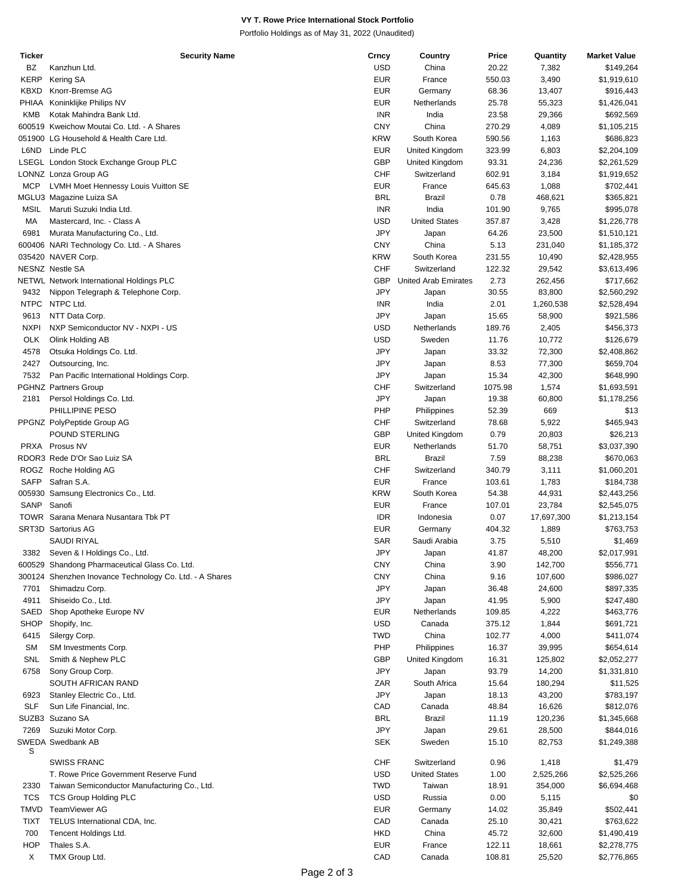## **VY T. Rowe Price International Stock Portfolio**

Portfolio Holdings as of May 31, 2022 (Unaudited)

| Ticker      | <b>Security Name</b>                                    | Crncy      | Country                     | Price   | Quantity   | <b>Market Value</b> |
|-------------|---------------------------------------------------------|------------|-----------------------------|---------|------------|---------------------|
| BZ          | Kanzhun Ltd.                                            | <b>USD</b> | China                       | 20.22   | 7,382      | \$149,264           |
| <b>KERP</b> | Kering SA                                               | <b>EUR</b> | France                      | 550.03  | 3,490      | \$1,919,610         |
|             |                                                         |            |                             |         |            |                     |
| <b>KBXD</b> | Knorr-Bremse AG                                         | <b>EUR</b> | Germany                     | 68.36   | 13,407     | \$916,443           |
|             | PHIAA Koninklijke Philips NV                            | <b>EUR</b> | Netherlands                 | 25.78   | 55,323     | \$1,426,041         |
| <b>KMB</b>  | Kotak Mahindra Bank Ltd.                                | <b>INR</b> | India                       | 23.58   | 29,366     | \$692,569           |
|             | 600519 Kweichow Moutai Co. Ltd. - A Shares              | <b>CNY</b> | China                       | 270.29  | 4,089      | \$1,105,215         |
|             |                                                         |            |                             |         |            |                     |
|             | 051900 LG Household & Health Care Ltd.                  | <b>KRW</b> | South Korea                 | 590.56  | 1,163      | \$686,823           |
| L6ND        | Linde PLC                                               | <b>EUR</b> | United Kingdom              | 323.99  | 6,803      | \$2,204,109         |
|             | LSEGL London Stock Exchange Group PLC                   | <b>GBP</b> | United Kingdom              | 93.31   | 24,236     | \$2,261,529         |
|             | LONNZ Lonza Group AG                                    | <b>CHF</b> | Switzerland                 | 602.91  | 3,184      | \$1,919,652         |
| <b>MCP</b>  |                                                         | <b>EUR</b> |                             |         |            |                     |
|             | LVMH Moet Hennessy Louis Vuitton SE                     |            | France                      | 645.63  | 1,088      | \$702,441           |
|             | MGLU3 Magazine Luiza SA                                 | <b>BRL</b> | Brazil                      | 0.78    | 468,621    | \$365,821           |
| MSIL        | Maruti Suzuki India Ltd.                                | <b>INR</b> | India                       | 101.90  | 9,765      | \$995,078           |
| МA          | Mastercard, Inc. - Class A                              | <b>USD</b> | <b>United States</b>        | 357.87  | 3,428      | \$1,226,778         |
|             |                                                         | JPY        |                             | 64.26   |            |                     |
| 6981        | Murata Manufacturing Co., Ltd.                          |            | Japan                       |         | 23,500     | \$1,510,121         |
|             | 600406 NARI Technology Co. Ltd. - A Shares              | <b>CNY</b> | China                       | 5.13    | 231,040    | \$1,185,372         |
|             | 035420 NAVER Corp.                                      | <b>KRW</b> | South Korea                 | 231.55  | 10,490     | \$2,428,955         |
|             | <b>NESNZ Nestle SA</b>                                  | <b>CHF</b> | Switzerland                 | 122.32  | 29,542     | \$3,613,496         |
|             |                                                         | <b>GBP</b> | <b>United Arab Emirates</b> | 2.73    |            |                     |
|             | NETWL Network International Holdings PLC                |            |                             |         | 262,456    | \$717,662           |
| 9432        | Nippon Telegraph & Telephone Corp.                      | <b>JPY</b> | Japan                       | 30.55   | 83,800     | \$2,560,292         |
| <b>NTPC</b> | NTPC Ltd.                                               | <b>INR</b> | India                       | 2.01    | 1,260,538  | \$2,528,494         |
| 9613        | NTT Data Corp.                                          | JPY        | Japan                       | 15.65   | 58,900     | \$921,586           |
| <b>NXPI</b> | NXP Semiconductor NV - NXPI - US                        | <b>USD</b> | Netherlands                 | 189.76  | 2,405      | \$456,373           |
|             |                                                         |            |                             |         |            |                     |
| <b>OLK</b>  | Olink Holding AB                                        | <b>USD</b> | Sweden                      | 11.76   | 10,772     | \$126,679           |
| 4578        | Otsuka Holdings Co. Ltd.                                | JPY        | Japan                       | 33.32   | 72,300     | \$2,408,862         |
| 2427        | Outsourcing, Inc.                                       | JPY        | Japan                       | 8.53    | 77,300     | \$659,704           |
| 7532        | Pan Pacific International Holdings Corp.                | JPY        | Japan                       | 15.34   | 42,300     | \$648,990           |
|             |                                                         |            |                             |         |            |                     |
|             | PGHNZ Partners Group                                    | <b>CHF</b> | Switzerland                 | 1075.98 | 1,574      | \$1,693,591         |
| 2181        | Persol Holdings Co. Ltd.                                | JPY        | Japan                       | 19.38   | 60,800     | \$1,178,256         |
|             | PHILLIPINE PESO                                         | PHP        | Philippines                 | 52.39   | 669        | \$13                |
|             | PPGNZ PolyPeptide Group AG                              | <b>CHF</b> | Switzerland                 | 78.68   | 5,922      | \$465,943           |
|             |                                                         |            |                             |         |            |                     |
|             | POUND STERLING                                          | <b>GBP</b> | United Kingdom              | 0.79    | 20,803     | \$26,213            |
|             | PRXA Prosus NV                                          | <b>EUR</b> | Netherlands                 | 51.70   | 58,751     | \$3,037,390         |
|             | RDOR3 Rede D'Or Sao Luiz SA                             | <b>BRL</b> | <b>Brazil</b>               | 7.59    | 88,238     | \$670,063           |
|             | ROGZ Roche Holding AG                                   | <b>CHF</b> | Switzerland                 | 340.79  | 3,111      | \$1,060,201         |
|             |                                                         |            |                             |         |            |                     |
| <b>SAFP</b> | Safran S.A.                                             | <b>EUR</b> | France                      | 103.61  | 1,783      | \$184,738           |
|             | 005930 Samsung Electronics Co., Ltd.                    | <b>KRW</b> | South Korea                 | 54.38   | 44,931     | \$2,443,256         |
| SANP        | Sanofi                                                  | <b>EUR</b> | France                      | 107.01  | 23,784     | \$2,545,075         |
|             | TOWR Sarana Menara Nusantara Tbk PT                     | <b>IDR</b> | Indonesia                   | 0.07    | 17,697,300 | \$1,213,154         |
|             |                                                         |            |                             |         |            |                     |
|             | SRT3D Sartorius AG                                      | <b>EUR</b> | Germany                     | 404.32  | 1,889      | \$763,753           |
|             | SAUDI RIYAL                                             | <b>SAR</b> | Saudi Arabia                | 3.75    | 5,510      | \$1,469             |
| 3382        | Seven & I Holdings Co., Ltd.                            | JPY        | Japan                       | 41.87   | 48,200     | \$2,017,991         |
|             | 600529 Shandong Pharmaceutical Glass Co. Ltd.           | <b>CNY</b> | China                       | 3.90    | 142,700    | \$556,771           |
|             |                                                         |            |                             |         |            |                     |
|             | 300124 Shenzhen Inovance Technology Co. Ltd. - A Shares | <b>CNY</b> | China                       | 9.16    | 107,600    | \$986,027           |
| 7701        | Shimadzu Corp.                                          | JPY        | Japan                       | 36.48   | 24,600     | \$897,335           |
| 4911        | Shiseido Co., Ltd.                                      | JPY        | Japan                       | 41.95   | 5,900      | \$247,480           |
| SAED        | Shop Apotheke Europe NV                                 | <b>EUR</b> | Netherlands                 | 109.85  | 4,222      | \$463,776           |
|             |                                                         |            |                             |         |            |                     |
| SHOP        | Shopify, Inc.                                           | <b>USD</b> | Canada                      | 375.12  | 1,844      | \$691,721           |
| 6415        | Silergy Corp.                                           | <b>TWD</b> | China                       | 102.77  | 4,000      | \$411,074           |
| <b>SM</b>   | SM Investments Corp.                                    | PHP        | Philippines                 | 16.37   | 39,995     | \$654,614           |
| SNL         | Smith & Nephew PLC                                      | <b>GBP</b> | United Kingdom              | 16.31   | 125,802    | \$2,052,277         |
|             |                                                         |            |                             |         |            |                     |
| 6758        | Sony Group Corp.                                        | JPY        | Japan                       | 93.79   | 14,200     | \$1,331,810         |
|             | SOUTH AFRICAN RAND                                      | ZAR        | South Africa                | 15.64   | 180,294    | \$11,525            |
| 6923        | Stanley Electric Co., Ltd.                              | JPY        | Japan                       | 18.13   | 43,200     | \$783,197           |
| <b>SLF</b>  | Sun Life Financial, Inc.                                | CAD        | Canada                      | 48.84   | 16,626     | \$812,076           |
|             |                                                         |            |                             |         |            |                     |
|             | SUZB3 Suzano SA                                         | <b>BRL</b> | Brazil                      | 11.19   | 120,236    | \$1,345,668         |
| 7269        | Suzuki Motor Corp.                                      | <b>JPY</b> | Japan                       | 29.61   | 28,500     | \$844,016           |
|             | SWEDA Swedbank AB                                       | <b>SEK</b> | Sweden                      | 15.10   | 82,753     | \$1,249,388         |
| S           |                                                         |            |                             |         |            |                     |
|             | <b>SWISS FRANC</b>                                      | <b>CHF</b> | Switzerland                 | 0.96    | 1,418      | \$1,479             |
|             | T. Rowe Price Government Reserve Fund                   | <b>USD</b> | <b>United States</b>        | 1.00    | 2,525,266  | \$2,525,266         |
|             |                                                         |            |                             |         |            |                     |
| 2330        | Taiwan Semiconductor Manufacturing Co., Ltd.            | <b>TWD</b> | Taiwan                      | 18.91   | 354,000    | \$6,694,468         |
| <b>TCS</b>  | <b>TCS Group Holding PLC</b>                            | <b>USD</b> | Russia                      | 0.00    | 5,115      | \$0                 |
| <b>TMVD</b> | TeamViewer AG                                           | <b>EUR</b> | Germany                     | 14.02   | 35,849     | \$502,441           |
| <b>TIXT</b> | TELUS International CDA, Inc.                           | CAD        | Canada                      | 25.10   | 30,421     | \$763,622           |
|             |                                                         |            |                             |         |            |                     |
| 700         | Tencent Holdings Ltd.                                   | <b>HKD</b> | China                       | 45.72   | 32,600     | \$1,490,419         |
| <b>HOP</b>  | Thales S.A.                                             | <b>EUR</b> | France                      | 122.11  | 18,661     | \$2,278,775         |
| Χ           | TMX Group Ltd.                                          | CAD        | Canada                      | 108.81  | 25,520     | \$2,776,865         |
|             |                                                         |            |                             |         |            |                     |